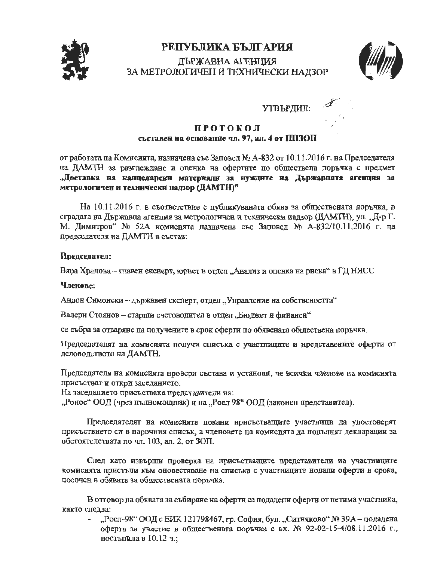

# РЕПУБЛИКА БЪЛГАРИЯ

# ДЪРЖАВНА АГЕНЦИЯ ЗА МЕТРОЛОГИЧЕН И ТЕХНИЧЕСКИ НАДЗОР



утвърдил.  $\mathcal{A}$ 

### **ПРОТОКОЛ** съставен на основание чл. 97, ал. 4 от ППЗОП

от работата на Комисията, назначена със Заповед № А-832 от 10.11.2016 г. на Председателя на ДАМТН за разглеждане и оценка на офертите по обществена поръчка с предмет "Доставка на канцеларски материали за нуждите на Държавната агенция за метрологичен и технически надзор (ДАМТН)"

На 10.11.2016 г. в съответствие с публикуваната обява за обществената поръчка, в сградата на Държавна агенция за метрологичен и технически надзор (ДАМТН), ул. "Д-р Г. М. Димитров" № 52А комисията назначена със Заповед № А-832/10.11.2016 г. на председателя на ДАМТН в състав:

## Председател:

Вяра Хранова - главен екснерт, юрист в отдел "Анализ и оценка на риска" в ГД НЯСС

### Членове:

Андон Симонски - държавен експерт, отдел "Управление на собствеността"

Валери Стоянов - старши счетоводител в отдел "Бюджет и финанси"

се събра за отваряне на получените в срок оферти по обявената обществена поръчка.

Председателят на комисията получи списька с участниците и нредставените: оферти от деловодството на ДАМТН.

Председателя на комисията нровери състава и установи, че всички членове на комисията присъстват и откри заседанието.

На заседанието присъстваха представители на:

"Ронос" ООД (чрез пълномощник) и на "Роел 98" ООД (законен представител).

Председателят на комисията покани нрисъстващите участници да удостоверят присъствието си в нарочния списък, а членовете на комисията да нопълнят декларации за обстоятелствата по чл. 103, ал. 2, от ЗОП.

След като извърши проверка на присъстващите представители на участниците комисията пристыли към оновестяване на списъка с участниците нодали оферти в срока, посочен в обявата за обществената поръчка.

В отговор на обявата за събиране на оферти са подадени оферти от петима участника, както слелва:

"Роел-98" ООД с ЕИК 121798467, гр. София, бул. "Ситняково" № 39А - подадена оферта за участие в обществената поръчка с вх. № 92-02-15-4/08.11.2016 г., ностыпила в 10.12 ч.;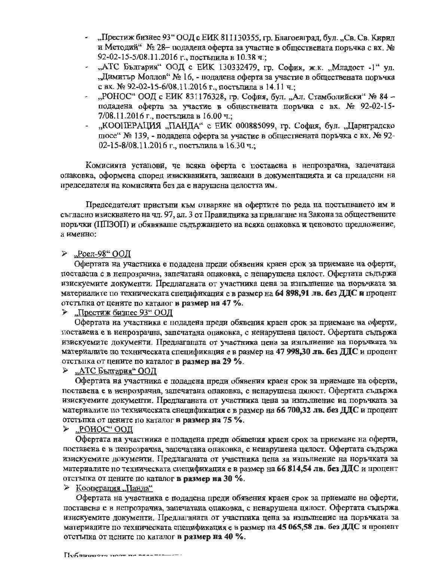- "Престиж бизнес 93" ООД с ЕИК 811130355, гр. Благоевград, бул. "Св. Св. Кирил и Методий"  $\mathcal{N}_2$  28- подадена оферта за участие в обществената поръчка с вх.  $\mathcal{N}_2$ 92-02-15-5/08.11.2016 г., постышла в 10.38 ч.;
- "АТС България" ООД с ЕИК 130332479, гр. София, ж.к. "Младост -1" ул. "Димитър Моллов" № 16, - подадена оферта за участие в обществената поръчка c BX.  $\mathcal{N}_2$  92-02-15-6/08.11.2016 г., постылила в 14.11 ч.;
- "РОНОС" ООД с ЕИК 831176328, гр. София, бул. "Ал. Стамболийски" № 84 подадена оферта за участие в обществената поръчка с вх. № 92-02-15- $7/08.11.2016$  г., постъпила в 16.00 ч.;
- ,,КООПЕРАЦИЯ "ПАНДА" с ЕИК 000885099, гр. София, бул. "Цариградско пюсе" № 139, - подадена оферта за участие в обществената поръчка с вх. № 92- $02-15-8/08.11.2016$  г., постъпила в 16.30 ч.;

Комиснята установи, че всяка оферта е поставена в непрозрачна, зацечатана опаковка, оформена според изискванията, записани в документацията и са предадени на председателя на комисията без да е нарушена целостта им.

Председателят пристыти към отваряне на офертите по реда на постыпването им и съгласно изискването на чл. 97, ал. 3 от Правилника за прилагане на Закона за обществените поръчки (IIII30II) и обявяваше съдържанието на всяка опаковка и ценовото предложение, a **именно**:

### $\geq$ , Poen-98" OOII

Офертата на участника е подадена преди обявения краен срок за приемане на оферти, поставена е в непрозрачна, запечатана опаковка, с ненарушена цялост. Офертата съдържа изискуемите документи. Предлаганата от участника цена за изпълнение на поръчката за  $M$ атериалите по техническата спецификация е в размер на 64 898,91 лв. без ДДС и процент отстытка от цените по каталог **в размер на 47 %**.

#### $\geq$  "Престиж бизнес 93" ООД

Офертата на участника е подадена преди обявения краен срок за приемане на оферти, поставена е в ненрозрачна, запечатана опаковка, с ненарушена цялост. Офертата съдържа нзискуемите документи. Предлаганата от участника цена за изпълнение на поръчката за материалите по техническата спецификация е в размер на 47 998,30 лв. без ДДС и процент отстыка от цените по каталог в размер на 29 %.

#### $\triangleright$  "АТС България" ООД

Офертата на участника е подадена преди обявения краен срок за приемане на оферти, поставена е в ненрозрачна, запечатана опаковка, с ненарушена пялост. Офертата съдържа изискуемите документи. Предлаганата от участника цена за изпълнение на поръчката за материалите по техническата снецификация е в размер на 66 700,32 лв. без ДДС и процент oTcThmca OT ueHHTe no KaTarror **B puMep ea 75** %.

#### $\blacktriangleright$  "РОНОС" ООД

Офертата на участника е подадена преди обявения краен срок за приемане на оферти, поставена е в пепрозрачна, запечатана опаковка, с ненарушена цялост. Офертата съдържа изискуемите документи. Предлаганата от участника цена за изпълнение на норъчката за материалите по техническата спецификация е в размер на 66 814,54 лв. без ДДС и процент OTCT'bmca OT IleHHTe no KaTarror **B puMep ea 30 °/o.** 

#### $\geq$  Кооперация "Панла"

Офертата на участника е подадена преди обявения краен срок за приемане на оферти, поставена е в непрозрачна, запечатана опаковка, с ненарушена пялост. Офертата съдържа нзискуемите документи. Предлаганата от участника цена за изпълнение на поръчката за материалите по техническата спецификация е в размер на 45 065,58 лв. без ДДС и процент отстъпка от цените по каталог в размер на 40 %.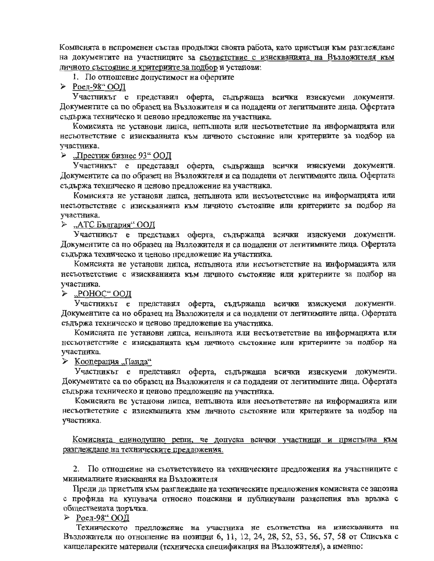Комисията в непроменен състав продължи своята работа, като пристъпи към разглеждане на документите на участниците за съответствие с изискванията на Възложителя към личното състояние и критериите за подбор и установи:

#### 1. По отношение допустимост на офертите

> Роел-98" ООД

Участникът е представил оферта, съдържаща всички изискуеми документи. Документите са по образец на Възложителя и са нодадени от легитимните лица. Офертата съдържа техническо и ценово нредложение на участника.

Комисията не установи липса, непълнота или несъответствие на информацията или несъответствие с изискванията към личното състояние или критериите за подбор на участника.

> "Престиж бизнес 93" ООД

Участникът е представил оферта, съдържаща всички изискуеми документи. Документите са по образец на Възложителя и са подадени от легитимните лица. Офертата съдържа техническо и ценово предложение на участника.

Комисията не установи липса, непълнота или несъответствие на информацията или несъответствие с изискванията към личното състояние или критериите за подбор на участника.

"АТС България" ООД

Участникът е представил оферта, съдържаща всички изискуеми документи. Документите са по образец на Възложителя н са подаденн от легитимните лица. Офертата съдържа техническо и ценово предложение на участника.

Комнсията не установи лицса, непълнота или несъответствие на информацията или несьответствие с изискванията към личното състояние или критериите за подбор на участника.

 $\triangleright$  ... POHOC" OOII

Участникът е представил оферта, съдържаща всички изискуеми документи. Документите са но образец на Възложителя и са подадени от легитимните лица. Офертата съдържа техническо и ценово предложение на участника.

Комисията не установн липса, непълнота или несъответствие на информацията или несъответствие с изискванията към личното състояние или критериите за подбор на участника.

≻ Кооперация "Панда"

Участникът е представил оферта, съдържаща всички изискуеми документи. Документите са по образец на Възложителя н са подадеии от легитимните лица. Офертата съдържа техническо и ценово предложение на участника.

Комисията не установи липса, непълнота или несъответствие на информацията или несьответствие с изискванията към личното състояние или критериите за подбор на участника.

Комисията единодушно репи, че допуска всички участници и пристъпва към разглеждане на техническите предложения.

2. По отношение на съответствието на техническите предложения на участниците с минималните изисквания на Възложителя

Преди да пристъпи към разглеждане на техническите предложения комисията се запозна с профила на купувача относно поискани и публикувани разяснения във връзка с обществената поръчка.

> Роел-98" ООД

Техническото предложение на участника не съответства на изискванията на Възложителя по отношение на позиции 6, 11, 12, 24, 28, 52, 53, 56, 57, 58 от Списька с канцеларските материали (техническа спецификация на Възложителя), а именно: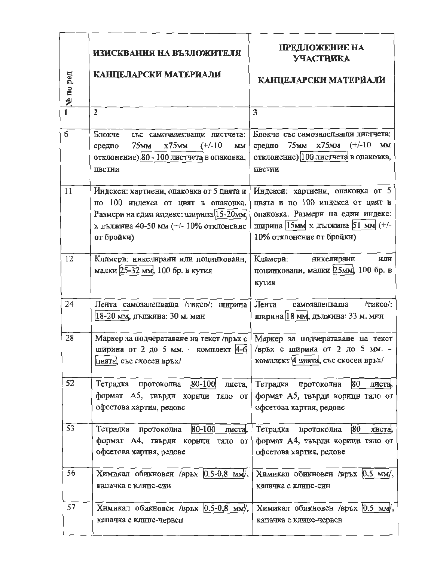|          | ИЗИСКВАНИЯ НА ВЪЗЛОЖИТЕЛЯ                                                                                                                                                        | ПРЕДЛОЖЕНИЕ НА<br><b>УЧАСТНИКА</b>                                                                                                                                         |
|----------|----------------------------------------------------------------------------------------------------------------------------------------------------------------------------------|----------------------------------------------------------------------------------------------------------------------------------------------------------------------------|
| № по ред | КАНЦЕЛАРСКИ МАТЕРИАЛИ                                                                                                                                                            | КАНЦЕЛАРСКИ МАТЕРИАЛИ                                                                                                                                                      |
|          | $\overline{2}$                                                                                                                                                                   | 3                                                                                                                                                                          |
| 6        | Блокче<br>със самозалепващи листчета:<br>$x75$ mm<br>75мм<br>$(+/-10)$<br>средно<br>MM<br>отклонение) 80 - 100 листчета в опаковка,<br>цветни                                    | Блокче със самозалепващи листчета:<br>средно 75мм х75мм (+/-10<br><b>MM</b><br>отклонение) 100 листчета в опаковка,<br>цветни                                              |
| 11       | Индекси: хартиени, опаковка от 5 цвята и<br>по 100 индекса от цвят в опаковка.<br>Размери на един индекс: ширина 15-20мм<br>х дылжина 40-50 мм (+/- 10% отклонение<br>от бройки) | Индекси: хартиени, опаковка от 5<br>цвята и по 100 индекса от цвят в<br>опаковка. Размери на един индекс:<br>ширина 15мм х дылжина 51 мм (+/-<br>10% отклонение от бройки) |
| 12       | Кламери: никелирани или поцинковани,<br>малки 25-32 мм, 100 бр. в кутия                                                                                                          | Кламери:<br>никелирани<br>или<br>поцинковани, малки 25мм, 100 бр. в<br>кутия                                                                                               |
| 24       | Лента самозалепваща /тиксо/: ширина<br>18-20 мм, дылжина: 30 м. мин                                                                                                              | /тиксо/:<br>Лента<br>самозаленваща<br>ширина 18 мм, дължина: 33 м. мин                                                                                                     |
| 28       | Маркер за подчератаване на текст/връх с   Маркер за подчератаване на текст<br>ширина от 2 до 5 мм. - комплект 4-6 / връх с ширина от 2 до 5 мм. -<br>цвята, със скосен връх/     | комплект 4 цвята, със скосен връх/                                                                                                                                         |
| 52       | Тетрадка протоколна 80-100<br>листа,<br>формат А5, твърди корици тяло от<br>офсетова хартия, редове                                                                              | 80<br>Тетрадка протоколна<br>листа,<br>формат А5, твърди корици тяло от<br>офсетова хартия, редове                                                                         |
| 53       | $ 80-100 $<br>Тетрадка протоколна<br>листа,<br>формат А4, твърди корици тяло от<br>офсетова хартия, редове                                                                       | 80<br>Тетрадка протоколна<br>листа,<br>формат А4, твърди корици тяло от<br>офсетова хартия, редове                                                                         |
| 56       | Химикал обикновен /връх 0.5-0,8 мм/,<br>капачка с клипс-син                                                                                                                      | Химикал обикновен /връх 0.5 мм/,<br>капачка с клипс-син                                                                                                                    |
| 57       | Химикал обикновен /връх 0.5-0,8 мм/,<br>капачка с клипс-червен                                                                                                                   | Химикал обикновен /връх 0.5 мм/,<br>капачка с клипс-червен                                                                                                                 |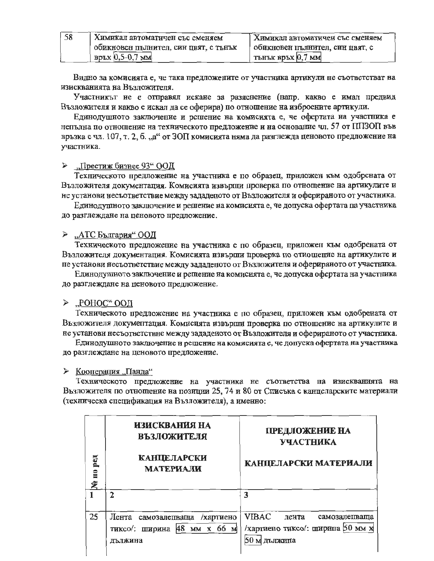| -58 | <b>Кимикал автоматичен със сменяем</b> | Кимикал автоматичен със сменяем |
|-----|----------------------------------------|---------------------------------|
|     | обикновен пълнител, син цвят, с тънък  | обикновен пълнител, син цвят, с |
|     | връх $[0,5-0,7$ мм                     | <b>ТЫНЪК ВРЪХ</b> 0,7 ММ        |

Видно за комисията е, че така предложените от участника артикули не съответстват на изискванията на Възложителя.

Участникът не е отправял искане за разяснение (напр. какво е имал предвид Възложителя и какво е искал да се оферира) по отношение на изброените артикули.

Единодушното заключение и решение на комисията е, че офертата на участника е непълна по отношение на техническото предложение и на основание чл. 57 от IIII3ON във връзка с чл. 107, т. 2, б. "а" от ЗОП комисията няма да разглежда ценовото предложение на участника.

#### "Престиж бизнес 93" ООД  $\blacktriangleright$

Техническото предложение на участника е по образец, приложен към одобрената от Възложителя документация. Комисията извърши проверка по отношение на артикулите и не установи несъответствие между зададеното от Възложителя и оферираното от участника.

Единодушното заключение и решение на комисията е, че допуска офертата па участника до разглеждане на ценовото предложение.

#### ≻ "АТС България" ООД

Техническото предложение на участника е по образец, приложен към одобрената от Възложителя документация. Комисията извърши проверка по отиошение на артикулите и пе установи несьответствие между зададеното от Възложителя и оферираното от участника.

Единодушното заключение и рещение на комисията е, че допуска офертата на участника до разглеждане на ценовото предложение.

### $\geq$  "РОНОС" ООД

Техническото предложение на участника е по образец, приложен към одобрената от Възложителя документация. Комисията извърни проверка по отношение на артикулите и не установи несъответствие между зададеното от Възложителя и оферираното от участника.

Единодушното заключение и решение на комисията е, че допуска офертата на участника до разглеждане на ценовото предложение.

#### ≻ Кооперация "Панда"

Техническото предложение на участника не съответства на изискванията на Възложителя по отношение на позиции 25, 74 и 80 от Списъка с канцеларските материали (техническа спецификация на Възложителя), а именно:

| <b>Fed</b><br>$\Xi$<br>ዼ | ИЗИСКВАНИЯ НА<br><b>ВЪЗЛОЖИТЕЛЯ</b><br><b>КАНЦЕЛАРСКИ</b><br><b>МАТЕРИАЛИ</b> | ПРЕДЛОЖЕНИЕ НА<br>УЧАСТНИКА<br>КАНЦЕЛАРСКИ МАТЕРИАЛИ                                 |
|--------------------------|-------------------------------------------------------------------------------|--------------------------------------------------------------------------------------|
|                          | $\mathcal{P}$                                                                 | ٦                                                                                    |
| 25                       | Лента самозаленваща<br>/хартиено<br>тиксо/: ширина 48 мм х 66 м<br>лължина    | <b>VIBAC</b><br>лента<br>самозаленваща<br>/хартиено тиксо/: ширина 50 мм х<br>дыжина |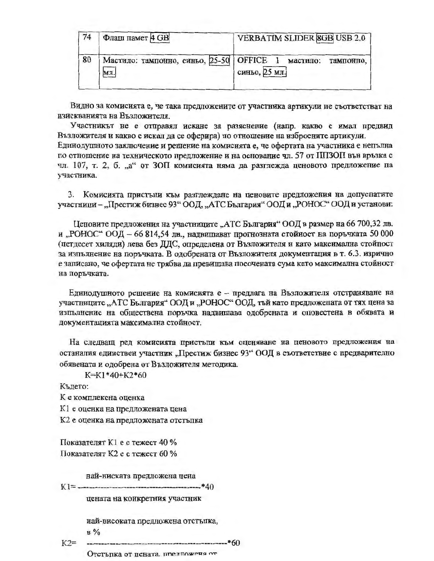| 74 | Флаш памет 4 GB                                            | <b>VERBATIM SLIDER 8GB USB 2.0</b> |
|----|------------------------------------------------------------|------------------------------------|
| 80 | Мастило: тампонно, синьо, 25-50   OFFICE 1 мастило:<br>мл. | тампонно,<br>синьо, 25 мл.         |

Видно за комисията е, че така предложените от участника артикули не съответстват на изискванията на Възложителя.

Участникът не е отправял искане за разяснение (напр. какво е имал предвид Възложителя и какво е искал да се оферира) по отношение на изброените артикули.

Единодушното заключение и решение на комисията е, че офертата на участника е непълна по отношение на техническото предложение и на основание чл. 57 от ППЗОП във връзка с чл. 107, т. 2, б. "а" от ЗОП комисията няма да разглежда ценовото предложение на участника.

3. Комисията пристыи към разглеждане на ценовите предложения на допуспатите участници - "Престиж бизнес 93" ООД, "АТС България" ООД и "РОНОС" ООД и установи:

Цеповите предложения на участниците "АТС България" ООД в размер на 66 700,32 лв. и "РОНОС" ООД - 66 814,54 лв., надвишават прогнозната стойност на поръчката 50 000 (петдесет хиляди) лева без ДДС, определена от Възложителя и като максимална стойност за изпълнение на поръчката. В одобрената от Възложителя документация в т. 6.3. изрично е записано, че офертата не трябва да превишава посочената сума като максимална стойност на поръчката.

Единодушното решение на комисията е - предлага на Възложителя отстраняване на участниците "АТС България" ООД и "РОНОС" ООД, тъй като предложената от тях цена за изпълнение на обществена поръчка надвишава одобрената и оповестена в обявата и документацията максимална стойност.

На следващ ред комисията пристыти към оценяване на ценовото предложения на останалия единствен участник "Престиж бизнес 93" ООД в съответствие с предварително обявената и одобрена от Възложителя методика.

K=K1\*40+K2\*60

Където:

К е комплексна оценка

К1 е оценка на предложената цена

К2 е оценка на предложената отстъпка

Показателят К1 е с тежест 40 % Показателят К2 е с тежест 60 %

най-ниската предложена цена

цената на конкретния участник

най-високата предложена отстылка,  $B\%$ 

 $K2=$  $---*60$ 

Отстъпка от цената, предпожена от